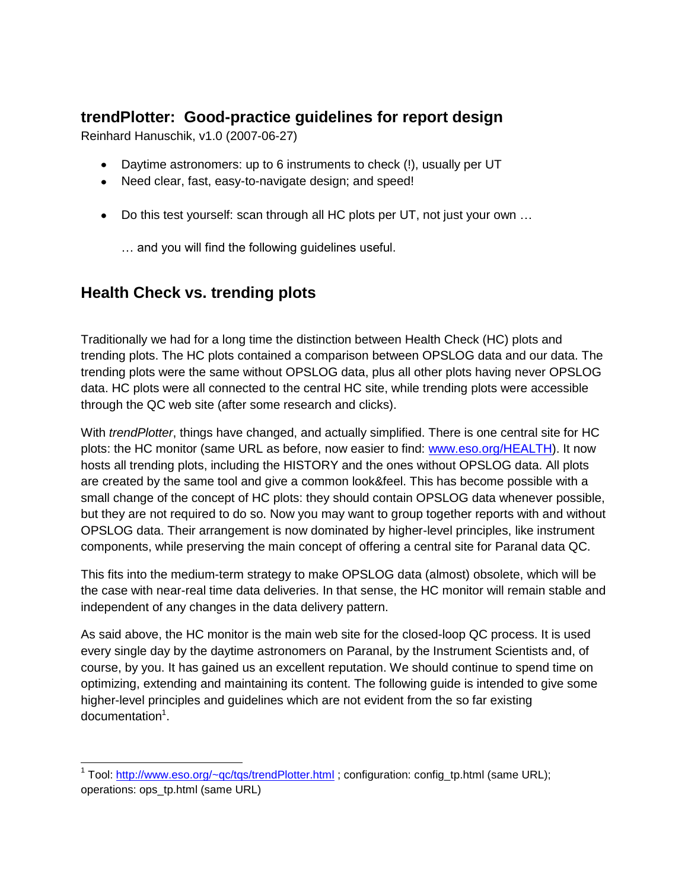## **trendPlotter: Good-practice guidelines for report design**

Reinhard Hanuschik, v1.0 (2007-06-27)

- Daytime astronomers: up to 6 instruments to check (!), usually per UT
- Need clear, fast, easy-to-navigate design; and speed!
- Do this test yourself: scan through all HC plots per UT, not just your own ...

… and you will find the following guidelines useful.

# **Health Check vs. trending plots**

Traditionally we had for a long time the distinction between Health Check (HC) plots and trending plots. The HC plots contained a comparison between OPSLOG data and our data. The trending plots were the same without OPSLOG data, plus all other plots having never OPSLOG data. HC plots were all connected to the central HC site, while trending plots were accessible through the QC web site (after some research and clicks).

With *trendPlotter*, things have changed, and actually simplified. There is one central site for HC plots: the HC monitor (same URL as before, now easier to find: [www.eso.org/HEALTH\)](http://www.eso.org/HEALTH). It now hosts all trending plots, including the HISTORY and the ones without OPSLOG data. All plots are created by the same tool and give a common look&feel. This has become possible with a small change of the concept of HC plots: they should contain OPSLOG data whenever possible, but they are not required to do so. Now you may want to group together reports with and without OPSLOG data. Their arrangement is now dominated by higher-level principles, like instrument components, while preserving the main concept of offering a central site for Paranal data QC.

This fits into the medium-term strategy to make OPSLOG data (almost) obsolete, which will be the case with near-real time data deliveries. In that sense, the HC monitor will remain stable and independent of any changes in the data delivery pattern.

As said above, the HC monitor is the main web site for the closed-loop QC process. It is used every single day by the daytime astronomers on Paranal, by the Instrument Scientists and, of course, by you. It has gained us an excellent reputation. We should continue to spend time on optimizing, extending and maintaining its content. The following guide is intended to give some higher-level principles and guidelines which are not evident from the so far existing documentation<sup>1</sup>.

 1 Tool:<http://www.eso.org/~qc/tqs/trendPlotter.html> ; configuration: config\_tp.html (same URL); operations: ops\_tp.html (same URL)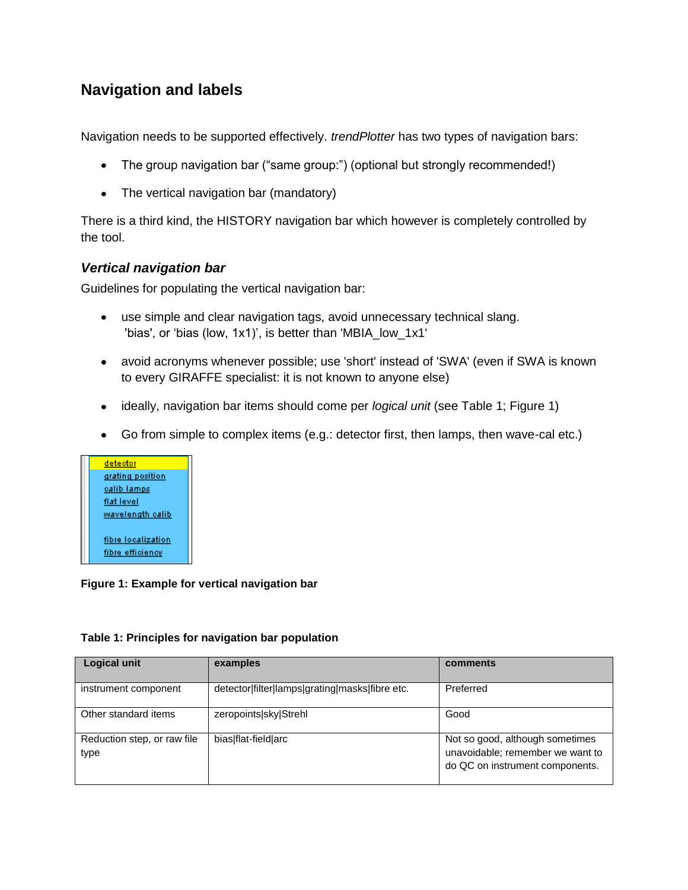### **Navigation and labels**

Navigation needs to be supported effectively. *trendPlotter* has two types of navigation bars:

- The group navigation bar ("same group:") (optional but strongly recommended!)
- The vertical navigation bar (mandatory)

There is a third kind, the HISTORY navigation bar which however is completely controlled by the tool.

#### *Vertical navigation bar*

Guidelines for populating the vertical navigation bar:

- use simple and clear navigation tags, avoid unnecessary technical slang. 'bias', or 'bias (low, 1x1)', is better than 'MBIA\_low\_1x1'
- avoid acronyms whenever possible; use 'short' instead of 'SWA' (even if SWA is known to every GIRAFFE specialist: it is not known to anyone else)
- ideally, navigation bar items should come per *logical unit* (see [Table 1;](#page-1-0) [Figure 1\)](#page-1-1)
- Go from simple to complex items (e.g.: detector first, then lamps, then wave-cal etc.)



#### <span id="page-1-1"></span>**Figure 1: Example for vertical navigation bar**

#### <span id="page-1-0"></span>**Table 1: Principles for navigation bar population**

| <b>Logical unit</b>                 | examples                                       | comments                                                                                               |
|-------------------------------------|------------------------------------------------|--------------------------------------------------------------------------------------------------------|
| instrument component                | detector filter lamps grating masks fibre etc. | Preferred                                                                                              |
| Other standard items                | zeropoints sky Strehl                          | Good                                                                                                   |
| Reduction step, or raw file<br>type | bias flat-field arc                            | Not so good, although sometimes<br>unavoidable; remember we want to<br>do QC on instrument components. |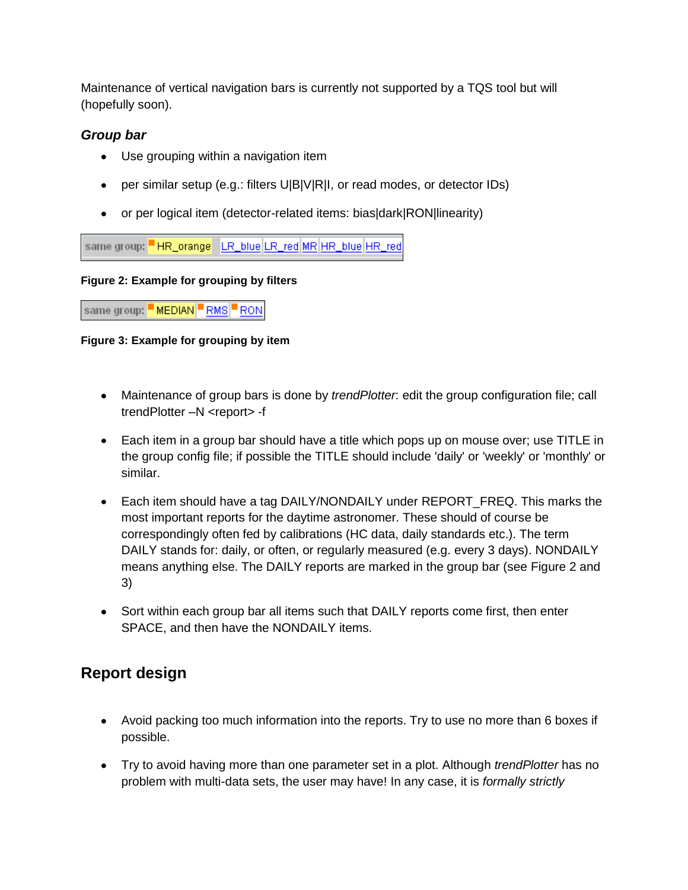Maintenance of vertical navigation bars is currently not supported by a TQS tool but will (hopefully soon).

#### *Group bar*

- Use grouping within a navigation item
- per similar setup (e.g.: filters U|B|V|R|I, or read modes, or detector IDs)
- or per logical item (detector-related items: bias|dark|RON|linearity)

same group: HR\_orange LR\_blue LR\_red MR HR\_blue HR\_red

#### **Figure 2: Example for grouping by filters**

same group: MEDIAN RMS RON

**Figure 3: Example for grouping by item**

- Maintenance of group bars is done by *trendPlotter*: edit the group configuration file; call trendPlotter –N <report> -f
- Each item in a group bar should have a title which pops up on mouse over; use TITLE in the group config file; if possible the TITLE should include 'daily' or 'weekly' or 'monthly' or similar.
- Each item should have a tag DAILY/NONDAILY under REPORT FREQ. This marks the most important reports for the daytime astronomer. These should of course be correspondingly often fed by calibrations (HC data, daily standards etc.). The term DAILY stands for: daily, or often, or regularly measured (e.g. every 3 days). NONDAILY means anything else. The DAILY reports are marked in the group bar (see Figure 2 and 3)
- Sort within each group bar all items such that DAILY reports come first, then enter SPACE, and then have the NONDAILY items.

# **Report design**

- Avoid packing too much information into the reports. Try to use no more than 6 boxes if possible.
- Try to avoid having more than one parameter set in a plot. Although *trendPlotter* has no problem with multi-data sets, the user may have! In any case, it is *formally strictly*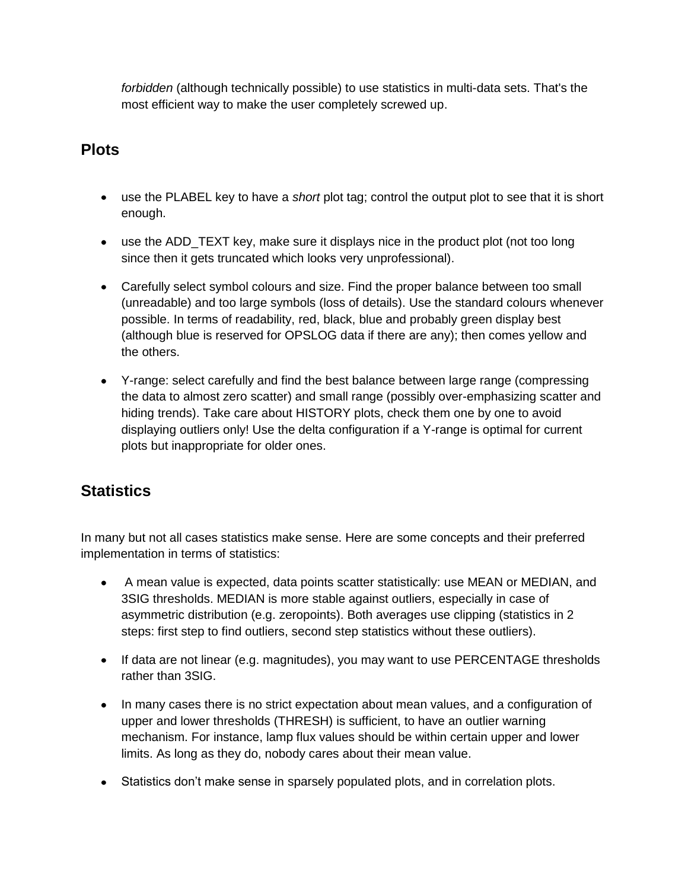*forbidden* (although technically possible) to use statistics in multi-data sets. That's the most efficient way to make the user completely screwed up.

## **Plots**

- use the PLABEL key to have a *short* plot tag; control the output plot to see that it is short enough.
- use the ADD TEXT key, make sure it displays nice in the product plot (not too long since then it gets truncated which looks very unprofessional).
- Carefully select symbol colours and size. Find the proper balance between too small (unreadable) and too large symbols (loss of details). Use the standard colours whenever possible. In terms of readability, red, black, blue and probably green display best (although blue is reserved for OPSLOG data if there are any); then comes yellow and the others.
- Y-range: select carefully and find the best balance between large range (compressing the data to almost zero scatter) and small range (possibly over-emphasizing scatter and hiding trends). Take care about HISTORY plots, check them one by one to avoid displaying outliers only! Use the delta configuration if a Y-range is optimal for current plots but inappropriate for older ones.

# **Statistics**

In many but not all cases statistics make sense. Here are some concepts and their preferred implementation in terms of statistics:

- A mean value is expected, data points scatter statistically: use MEAN or MEDIAN, and  $\bullet$ 3SIG thresholds. MEDIAN is more stable against outliers, especially in case of asymmetric distribution (e.g. zeropoints). Both averages use clipping (statistics in 2 steps: first step to find outliers, second step statistics without these outliers).
- If data are not linear (e.g. magnitudes), you may want to use PERCENTAGE thresholds rather than 3SIG.
- In many cases there is no strict expectation about mean values, and a configuration of upper and lower thresholds (THRESH) is sufficient, to have an outlier warning mechanism. For instance, lamp flux values should be within certain upper and lower limits. As long as they do, nobody cares about their mean value.
- Statistics don"t make sense in sparsely populated plots, and in correlation plots.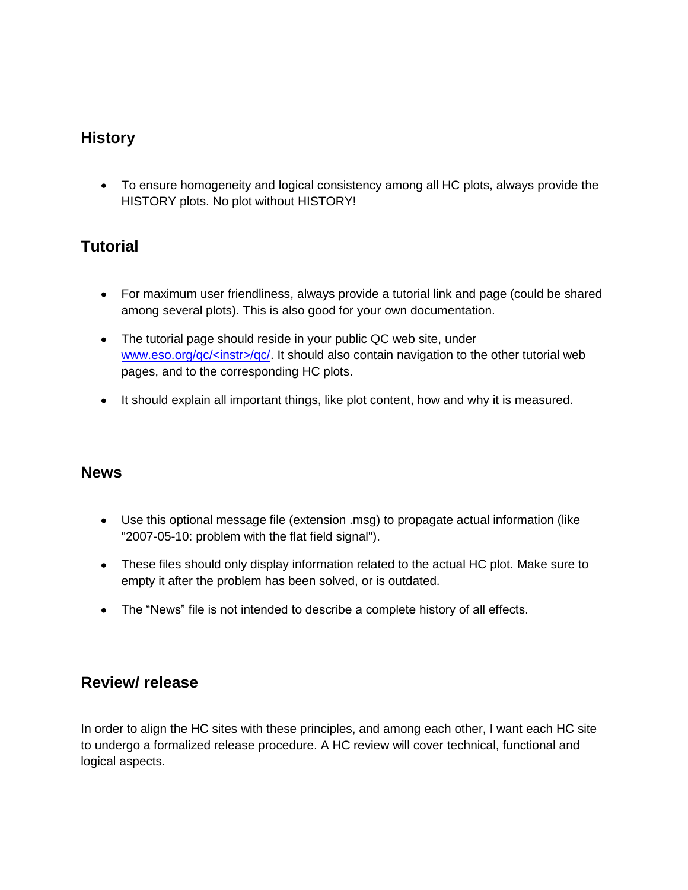## **History**

To ensure homogeneity and logical consistency among all HC plots, always provide the HISTORY plots. No plot without HISTORY!

# **Tutorial**

- For maximum user friendliness, always provide a tutorial link and page (could be shared among several plots). This is also good for your own documentation.
- The tutorial page should reside in your public QC web site, under [www.eso.org/qc/<instr>/qc/.](http://www.eso.org/qc/%3cinstr%3e/qc/) It should also contain navigation to the other tutorial web pages, and to the corresponding HC plots.
- It should explain all important things, like plot content, how and why it is measured.

#### **News**

- Use this optional message file (extension .msg) to propagate actual information (like "2007-05-10: problem with the flat field signal").
- These files should only display information related to the actual HC plot. Make sure to empty it after the problem has been solved, or is outdated.
- The "News" file is not intended to describe a complete history of all effects.

### **Review/ release**

In order to align the HC sites with these principles, and among each other, I want each HC site to undergo a formalized release procedure. A HC review will cover technical, functional and logical aspects.